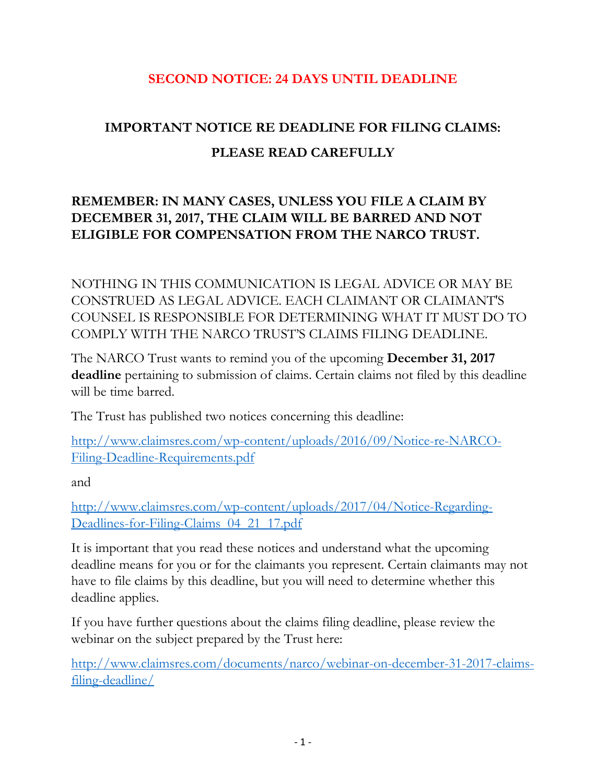## **SECOND NOTICE: 24 DAYS UNTIL DEADLINE**

## **IMPORTANT NOTICE RE DEADLINE FOR FILING CLAIMS: PLEASE READ CAREFULLY**

## **REMEMBER: IN MANY CASES, UNLESS YOU FILE A CLAIM BY DECEMBER 31, 2017, THE CLAIM WILL BE BARRED AND NOT ELIGIBLE FOR COMPENSATION FROM THE NARCO TRUST.**

NOTHING IN THIS COMMUNICATION IS LEGAL ADVICE OR MAY BE CONSTRUED AS LEGAL ADVICE. EACH CLAIMANT OR CLAIMANT'S COUNSEL IS RESPONSIBLE FOR DETERMINING WHAT IT MUST DO TO COMPLY WITH THE NARCO TRUST'S CLAIMS FILING DEADLINE.

The NARCO Trust wants to remind you of the upcoming **December 31, 2017 deadline** pertaining to submission of claims. Certain claims not filed by this deadline will be time barred.

The Trust has published two notices concerning this deadline:

[http://www.claimsres.com/wp-content/uploads/2016/09/Notice-re-NARCO-](http://www.claimsres.com/wp-content/uploads/2016/09/Notice-re-NARCO-Filing-Deadline-Requirements.pdf)[Filing-Deadline-Requirements.pdf](http://www.claimsres.com/wp-content/uploads/2016/09/Notice-re-NARCO-Filing-Deadline-Requirements.pdf)

and

[http://www.claimsres.com/wp-content/uploads/2017/04/Notice-Regarding-](http://www.claimsres.com/wp-content/uploads/2017/04/Notice-Regarding-Deadlines-for-Filing-Claims_04_21_17.pdf)[Deadlines-for-Filing-Claims\\_04\\_21\\_17.pdf](http://www.claimsres.com/wp-content/uploads/2017/04/Notice-Regarding-Deadlines-for-Filing-Claims_04_21_17.pdf)

It is important that you read these notices and understand what the upcoming deadline means for you or for the claimants you represent. Certain claimants may not have to file claims by this deadline, but you will need to determine whether this deadline applies.

If you have further questions about the claims filing deadline, please review the webinar on the subject prepared by the Trust here:

[http://www.claimsres.com/documents/narco/webinar-on-december-31-2017-claims](http://www.claimsres.com/documents/narco/webinar-on-december-31-2017-claims-filing-deadline/)[filing-deadline/](http://www.claimsres.com/documents/narco/webinar-on-december-31-2017-claims-filing-deadline/)